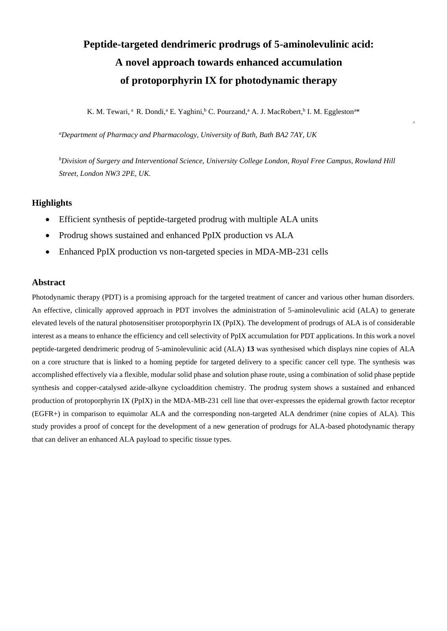# **Peptide-targeted dendrimeric prodrugs of 5-aminolevulinic acid: A novel approach towards enhanced accumulation of protoporphyrin IX for photodynamic therapy**

K. M. Tewari, <sup>a</sup> R. Dondi, <sup>a</sup> E. Yaghini, <sup>b</sup> C. Pourzand, <sup>a</sup> A. J. MacRobert, <sup>b</sup> I. M. Eggleston<sup>a\*</sup>

*a*

*<sup>a</sup>Department of Pharmacy and Pharmacology, University of Bath, Bath BA2 7AY, UK*

*<sup>b</sup>Division of Surgery and Interventional Science, University College London, Royal Free Campus, Rowland Hill Street, London NW3 2PE, UK.*

### **Highlights**

- Efficient synthesis of peptide-targeted prodrug with multiple ALA units
- Prodrug shows sustained and enhanced PpIX production vs ALA
- Enhanced PpIX production vs non-targeted species in MDA-MB-231 cells

### **Abstract**

Photodynamic therapy (PDT) is a promising approach for the targeted treatment of cancer and various other human disorders. An effective, clinically approved approach in PDT involves the administration of 5-aminolevulinic acid (ALA) to generate elevated levels of the natural photosensitiser protoporphyrin IX (PpIX). The development of prodrugs of ALA is of considerable interest as a means to enhance the efficiency and cell selectivity of PpIX accumulation for PDT applications. In this work a novel peptide-targeted dendrimeric prodrug of 5-aminolevulinic acid (ALA) **13** was synthesised which displays nine copies of ALA on a core structure that is linked to a homing peptide for targeted delivery to a specific cancer cell type. The synthesis was accomplished effectively via a flexible, modular solid phase and solution phase route, using a combination of solid phase peptide synthesis and copper-catalysed azide-alkyne cycloaddition chemistry. The prodrug system shows a sustained and enhanced production of protoporphyrin IX (PpIX) in the MDA-MB-231 cell line that over-expresses the epidernal growth factor receptor (EGFR+) in comparison to equimolar ALA and the corresponding non-targeted ALA dendrimer (nine copies of ALA). This study provides a proof of concept for the development of a new generation of prodrugs for ALA-based photodynamic therapy that can deliver an enhanced ALA payload to specific tissue types.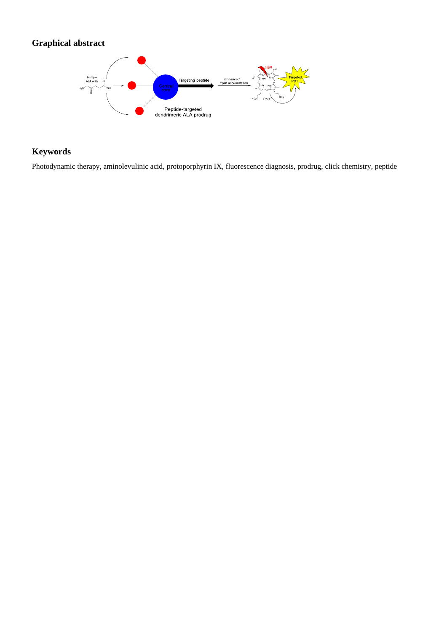## **Graphical abstract**



### **Keywords**

Photodynamic therapy, aminolevulinic acid, protoporphyrin IX, fluorescence diagnosis, prodrug, click chemistry, peptide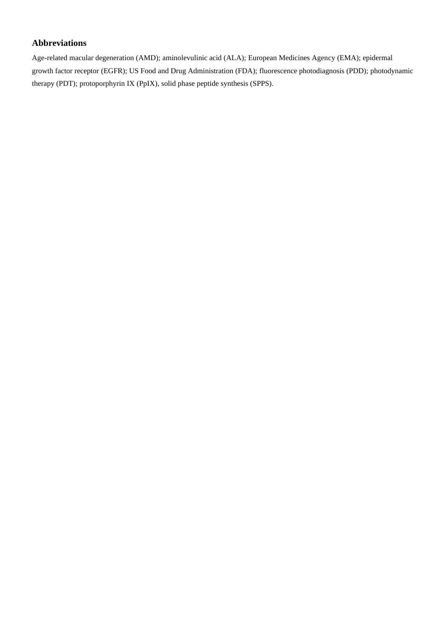### **Abbreviations**

Age-related macular degeneration (AMD); aminolevulinic acid (ALA); European Medicines Agency (EMA); epidermal growth factor receptor (EGFR); US Food and Drug Administration (FDA); fluorescence photodiagnosis (PDD); photodynamic therapy (PDT); protoporphyrin IX (PpIX), solid phase peptide synthesis (SPPS).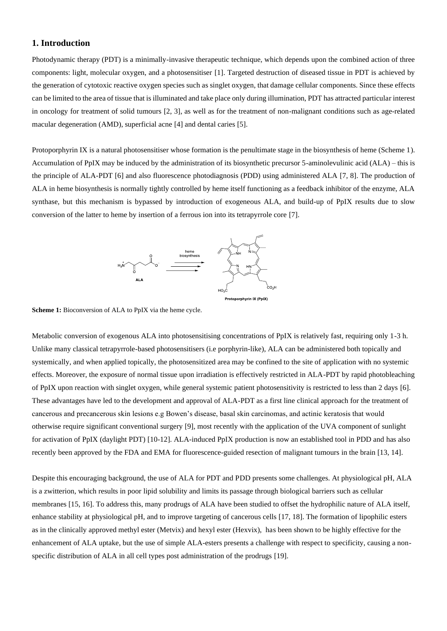### **1. Introduction**

Photodynamic therapy (PDT) is a minimally-invasive therapeutic technique, which depends upon the combined action of three components: light, molecular oxygen, and a photosensitiser [1]. Targeted destruction of diseased tissue in PDT is achieved by the generation of cytotoxic reactive oxygen species such as singlet oxygen, that damage cellular components. Since these effects can be limited to the area of tissue that is illuminated and take place only during illumination, PDT has attracted particular interest in oncology for treatment of solid tumours [2, 3], as well as for the treatment of non-malignant conditions such as age-related macular degeneration (AMD), superficial acne [4] and dental caries [5].

Protoporphyrin IX is a natural photosensitiser whose formation is the penultimate stage in the biosynthesis of heme (Scheme 1). Accumulation of PpIX may be induced by the administration of its biosynthetic precursor 5-aminolevulinic acid (ALA) – this is the principle of ALA-PDT [6] and also fluorescence photodiagnosis (PDD) using administered ALA [7, 8]. The production of ALA in heme biosynthesis is normally tightly controlled by heme itself functioning as a feedback inhibitor of the enzyme, ALA synthase, but this mechanism is bypassed by introduction of exogeneous ALA, and build-up of PpIX results due to slow conversion of the latter to heme by insertion of a ferrous ion into its tetrapyrrole core [7].



**Scheme 1:** Bioconversion of ALA to PpIX via the heme cycle.

Metabolic conversion of exogenous ALA into photosensitising concentrations of PpIX is relatively fast, requiring only 1-3 h. Unlike many classical tetrapyrrole-based photosensitisers (i.e porphyrin-like), ALA can be administered both topically and systemically, and when applied topically, the photosensitized area may be confined to the site of application with no systemic effects. Moreover, the exposure of normal tissue upon irradiation is effectively restricted in ALA-PDT by rapid photobleaching of PpIX upon reaction with singlet oxygen, while general systemic patient photosensitivity is restricted to less than 2 days [6]. These advantages have led to the development and approval of ALA-PDT as a first line clinical approach for the treatment of cancerous and precancerous skin lesions e.g Bowen's disease, basal skin carcinomas, and actinic keratosis that would otherwise require significant conventional surgery [9], most recently with the application of the UVA component of sunlight for activation of PpIX (daylight PDT) [10-12]. ALA-induced PpIX production is now an established tool in PDD and has also recently been approved by the FDA and EMA for fluorescence-guided resection of malignant tumours in the brain [13, 14].

Despite this encouraging background, the use of ALA for PDT and PDD presents some challenges. At physiological pH, ALA is a zwitterion, which results in poor lipid solubility and limits its passage through biological barriers such as cellular membranes [15, 16]. To address this, many prodrugs of ALA have been studied to offset the hydrophilic nature of ALA itself, enhance stability at physiological pH, and to improve targeting of cancerous cells [17, 18]. The formation of lipophilic esters as in the clinically approved methyl ester (Metvix) and hexyl ester (Hexvix), has been shown to be highly effective for the enhancement of ALA uptake, but the use of simple ALA-esters presents a challenge with respect to specificity, causing a nonspecific distribution of ALA in all cell types post administration of the prodrugs [19].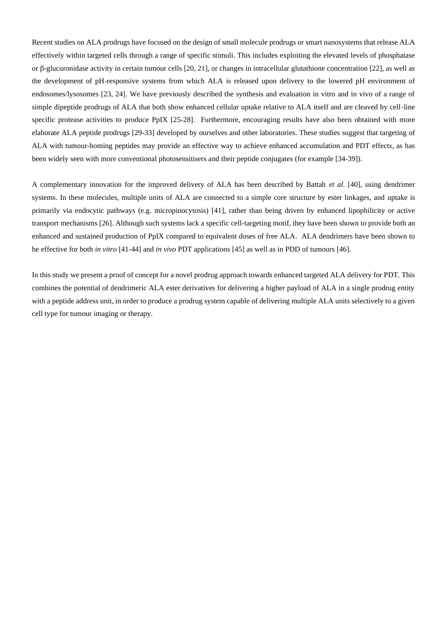Recent studies on ALA prodrugs have focused on the design of small molecule prodrugs or smart nanosystems that release ALA effectively within targeted cells through a range of specific stimuli. This includes exploiting the elevated levels of phosphatase or β-glucuronidase activity in certain tumour cells [20, 21], or changes in intracellular glutathione concentration [22], as well as the development of pH-responsive systems from which ALA is released upon delivery to the lowered pH environment of endosomes/lysosomes [23, 24]. We have previously described the synthesis and evaluation in vitro and in vivo of a range of simple dipeptide prodrugs of ALA that both show enhanced cellular uptake relative to ALA itself and are cleaved by cell-line specific protease activities to produce PpIX [25-28]. Furthermore, encouraging results have also been obtained with more elaborate ALA peptide prodrugs [29-33] developed by ourselves and other laboratories. These studies suggest that targeting of ALA with tumour-homing peptides may provide an effective way to achieve enhanced accumulation and PDT effects, as has been widely seen with more conventional photosensitisers and their peptide conjugates (for example [34-39]).

A complementary innovation for the improved delivery of ALA has been described by Battah *et al.* [40], using dendrimer systems. In these molecules, multiple units of ALA are connected to a simple core structure by ester linkages, and uptake is primarily via endocytic pathways (e.g. micropinocytosis) [41], rather than being driven by enhanced lipophilicity or active transport mechanisms [26]. Although such systems lack a specific cell-targeting motif, they have been shown to provide both an enhanced and sustained production of PpIX compared to equivalent doses of free ALA. ALA dendrimers have been shown to be effective for both *in vitro* [41-44] and *in vivo* PDT applications [45] as well as in PDD of tumours [46].

In this study we present a proof of concept for a novel prodrug approach towards enhanced targeted ALA delivery for PDT. This combines the potential of dendrimeric ALA ester derivatives for delivering a higher payload of ALA in a single prodrug entity with a peptide address unit, in order to produce a prodrug system capable of delivering multiple ALA units selectively to a given cell type for tumour imaging or therapy.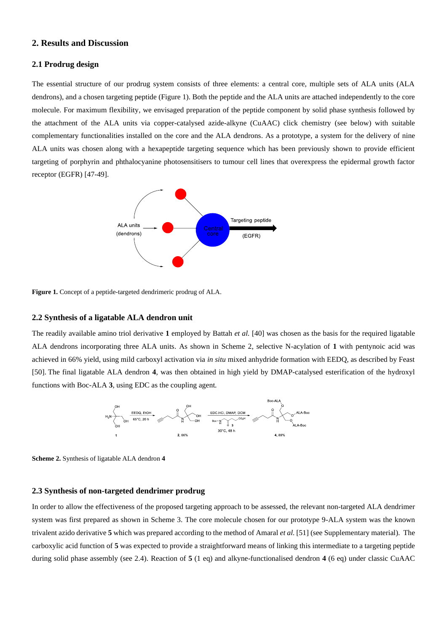### **2. Results and Discussion**

### **2.1 Prodrug design**

The essential structure of our prodrug system consists of three elements: a central core, multiple sets of ALA units (ALA dendrons), and a chosen targeting peptide (Figure 1). Both the peptide and the ALA units are attached independently to the core molecule. For maximum flexibility, we envisaged preparation of the peptide component by solid phase synthesis followed by the attachment of the ALA units via copper-catalysed azide-alkyne (CuAAC) click chemistry (see below) with suitable complementary functionalities installed on the core and the ALA dendrons. As a prototype, a system for the delivery of nine ALA units was chosen along with a hexapeptide targeting sequence which has been previously shown to provide efficient targeting of porphyrin and phthalocyanine photosensitisers to tumour cell lines that overexpress the epidermal growth factor receptor (EGFR) [47-49].



**Figure 1.** Concept of a peptide-targeted dendrimeric prodrug of ALA.

### **2.2 Synthesis of a ligatable ALA dendron unit**

The readily available amino triol derivative **1** employed by Battah *et al.* [40] was chosen as the basis for the required ligatable ALA dendrons incorporating three ALA units. As shown in Scheme 2, selective N-acylation of **1** with pentynoic acid was achieved in 66% yield, using mild carboxyl activation via *in situ* mixed anhydride formation with EEDQ, as described by Feast [50]. The final ligatable ALA dendron **4**, was then obtained in high yield by DMAP-catalysed esterification of the hydroxyl functions with Boc-ALA **3**, using EDC as the coupling agent.



**Scheme 2.** Synthesis of ligatable ALA dendron **4**

### **2.3 Synthesis of non-targeted dendrimer prodrug**

In order to allow the effectiveness of the proposed targeting approach to be assessed, the relevant non-targeted ALA dendrimer system was first prepared as shown in Scheme 3. The core molecule chosen for our prototype 9-ALA system was the known trivalent azido derivative **5** which was prepared according to the method of Amaral *et al.* [51] (see Supplementary material). The carboxylic acid function of **5** was expected to provide a straightforward means of linking this intermediate to a targeting peptide during solid phase assembly (see 2.4). Reaction of **5** (1 eq) and alkyne-functionalised dendron **4** (6 eq) under classic CuAAC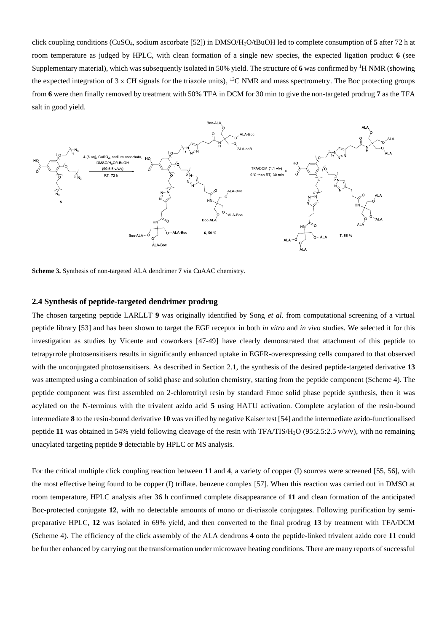click coupling conditions (CuSO4, sodium ascorbate [52]) in DMSO/H2O/tBuOH led to complete consumption of **5** after 72 h at room temperature as judged by HPLC, with clean formation of a single new species, the expected ligation product **6** (see Supplementary material), which was subsequently isolated in 50% yield. The structure of 6 was confirmed by <sup>1</sup>H NMR (showing the expected integration of 3 x CH signals for the triazole units),  $^{13}$ C NMR and mass spectrometry. The Boc protecting groups from **6** were then finally removed by treatment with 50% TFA in DCM for 30 min to give the non-targeted prodrug **7** as the TFA salt in good yield.



**Scheme 3.** Synthesis of non-targeted ALA dendrimer **7** via CuAAC chemistry.

### **2.4 Synthesis of peptide-targeted dendrimer prodrug**

The chosen targeting peptide LARLLT **9** was originally identified by Song *et al.* from computational screening of a virtual peptide library [53] and has been shown to target the EGF receptor in both *in vitro* and *in vivo* studies. We selected it for this investigation as studies by Vicente and coworkers [47-49] have clearly demonstrated that attachment of this peptide to tetrapyrrole photosensitisers results in significantly enhanced uptake in EGFR-overexpressing cells compared to that observed with the unconjugated photosensitisers. As described in Section 2.1, the synthesis of the desired peptide-targeted derivative **13** was attempted using a combination of solid phase and solution chemistry, starting from the peptide component (Scheme 4). The peptide component was first assembled on 2-chlorotrityl resin by standard Fmoc solid phase peptide synthesis, then it was acylated on the N-terminus with the trivalent azido acid **5** using HATU activation. Complete acylation of the resin-bound intermediate **8** to the resin-bound derivative **10** was verified by negative Kaiser test [54] and the intermediate azido-functionalised peptide **11** was obtained in 54% yield following cleavage of the resin with TFA/TIS/H<sub>2</sub>O (95:2.5:2.5 v/v/v), with no remaining unacylated targeting peptide **9** detectable by HPLC or MS analysis.

For the critical multiple click coupling reaction between **11** and **4**, a variety of copper (I) sources were screened [55, 56], with the most effective being found to be copper (I) triflate. benzene complex [57]. When this reaction was carried out in DMSO at room temperature, HPLC analysis after 36 h confirmed complete disappearance of **11** and clean formation of the anticipated Boc-protected conjugate **12**, with no detectable amounts of mono or di-triazole conjugates. Following purification by semipreparative HPLC, **12** was isolated in 69% yield, and then converted to the final prodrug **13** by treatment with TFA/DCM (Scheme 4). The efficiency of the click assembly of the ALA dendrons **4** onto the peptide-linked trivalent azido core **11** could be further enhanced by carrying out the transformation under microwave heating conditions. There are many reports of successful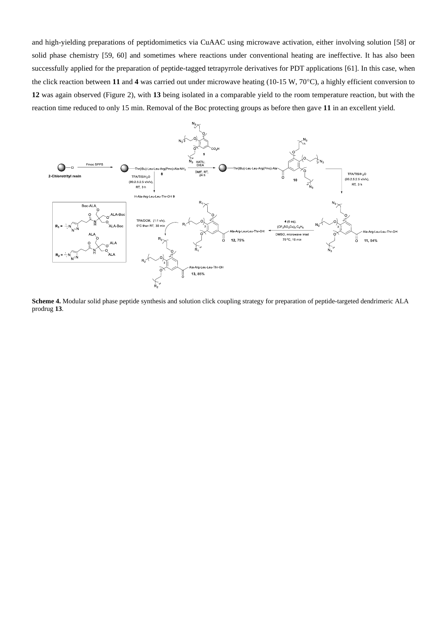and high-yielding preparations of peptidomimetics via CuAAC using microwave activation, either involving solution [58] or solid phase chemistry [59, 60] and sometimes where reactions under conventional heating are ineffective. It has also been successfully applied for the preparation of peptide-tagged tetrapyrrole derivatives for PDT applications [61]. In this case, when the click reaction between 11 and 4 was carried out under microwave heating (10-15 W, 70°C), a highly efficient conversion to **12** was again observed (Figure 2), with **13** being isolated in a comparable yield to the room temperature reaction, but with the reaction time reduced to only 15 min. Removal of the Boc protecting groups as before then gave **11** in an excellent yield.



**Scheme 4.** Modular solid phase peptide synthesis and solution click coupling strategy for preparation of peptide-targeted dendrimeric ALA prodrug **13**.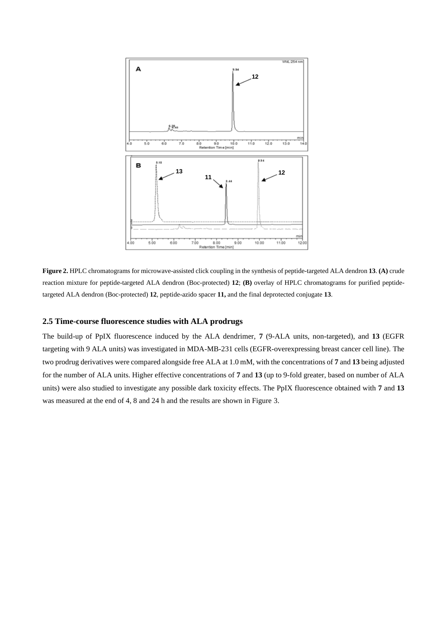

**Figure 2.** HPLC chromatograms for microwave-assisted click coupling in the synthesis of peptide-targeted ALA dendron **13**. **(A)** crude reaction mixture for peptide-targeted ALA dendron (Boc-protected) **12**; **(B)** overlay of HPLC chromatograms for purified peptidetargeted ALA dendron (Boc-protected) **12**, peptide-azido spacer **11,** and the final deprotected conjugate **13**.

### **2.5 Time-course fluorescence studies with ALA prodrugs**

The build-up of PpIX fluorescence induced by the ALA dendrimer, **7** (9-ALA units, non-targeted), and **13** (EGFR targeting with 9 ALA units) was investigated in MDA-MB-231 cells (EGFR-overexpressing breast cancer cell line). The two prodrug derivatives were compared alongside free ALA at 1.0 mM, with the concentrations of **7** and **13** being adjusted for the number of ALA units. Higher effective concentrations of **7** and **13** (up to 9-fold greater, based on number of ALA units) were also studied to investigate any possible dark toxicity effects. The PpIX fluorescence obtained with **7** and **13** was measured at the end of 4, 8 and 24 h and the results are shown in Figure 3.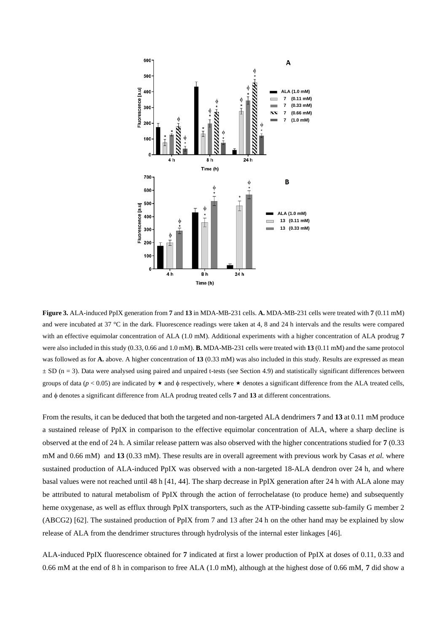

**Figure 3.** ALA-induced PpIX generation from **7** and **13** in MDA-MB-231 cells. **A.** MDA-MB-231 cells were treated with **7** (0.11 mM) and were incubated at 37 °C in the dark. Fluorescence readings were taken at 4, 8 and 24 h intervals and the results were compared with an effective equimolar concentration of ALA (1.0 mM). Additional experiments with a higher concentration of ALA prodrug **7** were also included in this study (0.33, 0.66 and 1.0 mM). **B.** MDA-MB-231 cells were treated with **13** (0.11 mM) and the same protocol was followed as for **A.** above. A higher concentration of **13** (0.33 mM) was also included in this study. Results are expressed as mean  $\pm$  SD (n = 3). Data were analysed using paired and unpaired t-tests (see Section 4.9) and statistically significant differences between groups of data ( $p < 0.05$ ) are indicated by  $\star$  and  $\phi$  respectively, where  $\star$  denotes a significant difference from the ALA treated cells, and  $\phi$  denotes a significant difference from ALA prodrug treated cells **7** and **13** at different concentrations.

From the results, it can be deduced that both the targeted and non-targeted ALA dendrimers **7** and **13** at 0.11 mM produce a sustained release of PpIX in comparison to the effective equimolar concentration of ALA, where a sharp decline is observed at the end of 24 h. A similar release pattern was also observed with the higher concentrations studied for **7** (0.33 mM and 0.66 mM) and **13** (0.33 mM). These results are in overall agreement with previous work by Casas *et al.* where sustained production of ALA-induced PpIX was observed with a non-targeted 18-ALA dendron over 24 h, and where basal values were not reached until 48 h [41, 44]. The sharp decrease in PpIX generation after 24 h with ALA alone may be attributed to natural metabolism of PpIX through the action of ferrochelatase (to produce heme) and subsequently heme oxygenase, as well as efflux through PpIX transporters, such as the ATP-binding cassette sub-family G member 2 (ABCG2) [62]. The sustained production of PpIX from 7 and 13 after 24 h on the other hand may be explained by slow release of ALA from the dendrimer structures through hydrolysis of the internal ester linkages [46].

ALA-induced PpIX fluorescence obtained for **7** indicated at first a lower production of PpIX at doses of 0.11, 0.33 and 0.66 mM at the end of 8 h in comparison to free ALA (1.0 mM), although at the highest dose of 0.66 mM, **7** did show a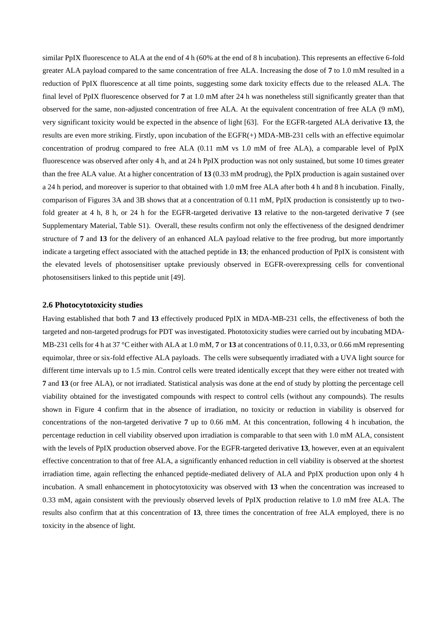similar PpIX fluorescence to ALA at the end of 4 h (60% at the end of 8 h incubation). This represents an effective 6-fold greater ALA payload compared to the same concentration of free ALA. Increasing the dose of **7** to 1.0 mM resulted in a reduction of PpIX fluorescence at all time points, suggesting some dark toxicity effects due to the released ALA. The final level of PpIX fluorescence observed for **7** at 1.0 mM after 24 h was nonetheless still significantly greater than that observed for the same, non-adjusted concentration of free ALA. At the equivalent concentration of free ALA (9 mM), very significant toxicity would be expected in the absence of light [63]. For the EGFR-targeted ALA derivative **13**, the results are even more striking. Firstly, upon incubation of the EGFR(+) MDA-MB-231 cells with an effective equimolar concentration of prodrug compared to free ALA (0.11 mM vs 1.0 mM of free ALA), a comparable level of PpIX fluorescence was observed after only 4 h, and at 24 h PpIX production was not only sustained, but some 10 times greater than the free ALA value. At a higher concentration of **13** (0.33 mM prodrug), the PpIX production is again sustained over a 24 h period, and moreover is superior to that obtained with 1.0 mM free ALA after both 4 h and 8 h incubation. Finally, comparison of Figures 3A and 3B shows that at a concentration of 0.11 mM, PpIX production is consistently up to twofold greater at 4 h, 8 h, or 24 h for the EGFR-targeted derivative **13** relative to the non-targeted derivative **7** (see Supplementary Material, Table S1). Overall, these results confirm not only the effectiveness of the designed dendrimer structure of **7** and **13** for the delivery of an enhanced ALA payload relative to the free prodrug, but more importantly indicate a targeting effect associated with the attached peptide in **13**; the enhanced production of PpIX is consistent with the elevated levels of photosensitiser uptake previously observed in EGFR-overexpressing cells for conventional photosensitisers linked to this peptide unit [49].

#### **2.6 Photocytotoxicity studies**

Having established that both **7** and **13** effectively produced PpIX in MDA-MB-231 cells, the effectiveness of both the targeted and non-targeted prodrugs for PDT was investigated. Phototoxicity studies were carried out by incubating MDA-MB-231 cells for 4 h at 37 °C either with ALA at 1.0 mM, **7** or **13** at concentrations of 0.11, 0.33, or 0.66 mM representing equimolar, three or six-fold effective ALA payloads. The cells were subsequently irradiated with a UVA light source for different time intervals up to 1.5 min. Control cells were treated identically except that they were either not treated with **7** and **13** (or free ALA), or not irradiated. Statistical analysis was done at the end of study by plotting the percentage cell viability obtained for the investigated compounds with respect to control cells (without any compounds). The results shown in Figure 4 confirm that in the absence of irradiation, no toxicity or reduction in viability is observed for concentrations of the non-targeted derivative **7** up to 0.66 mM. At this concentration, following 4 h incubation, the percentage reduction in cell viability observed upon irradiation is comparable to that seen with 1.0 mM ALA, consistent with the levels of PpIX production observed above. For the EGFR-targeted derivative **13**, however, even at an equivalent effective concentration to that of free ALA, a significantly enhanced reduction in cell viability is observed at the shortest irradiation time, again reflecting the enhanced peptide-mediated delivery of ALA and PpIX production upon only 4 h incubation. A small enhancement in photocytotoxicity was observed with **13** when the concentration was increased to 0.33 mM, again consistent with the previously observed levels of PpIX production relative to 1.0 mM free ALA. The results also confirm that at this concentration of **13**, three times the concentration of free ALA employed, there is no toxicity in the absence of light.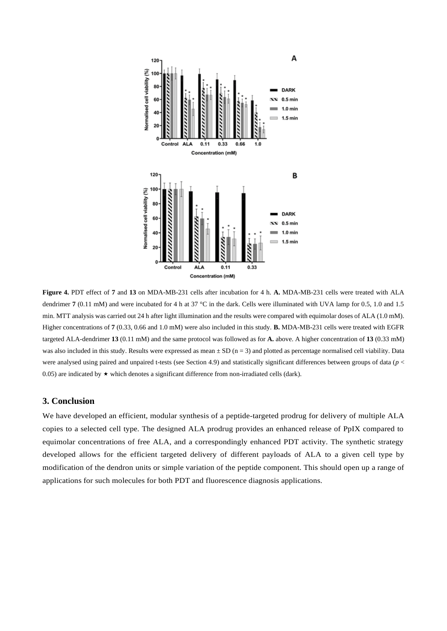

**Figure 4.** PDT effect of **7** and **13** on MDA-MB-231 cells after incubation for 4 h. **A.** MDA-MB-231 cells were treated with ALA dendrimer **7** (0.11 mM) and were incubated for 4 h at 37 °C in the dark. Cells were illuminated with UVA lamp for 0.5, 1.0 and 1.5 min. MTT analysis was carried out 24 h after light illumination and the results were compared with equimolar doses of ALA (1.0 mM). Higher concentrations of **7** (0.33, 0.66 and 1.0 mM) were also included in this study. **B.** MDA-MB-231 cells were treated with EGFR targeted ALA-dendrimer **13** (0.11 mM) and the same protocol was followed as for **A.** above. A higher concentration of **13** (0.33 mM) was also included in this study. Results were expressed as mean  $\pm$  SD (n = 3) and plotted as percentage normalised cell viability. Data were analysed using paired and unpaired t-tests (see Section 4.9) and statistically significant differences between groups of data (*p* < 0.05) are indicated by  $\star$  which denotes a significant difference from non-irradiated cells (dark).

### **3. Conclusion**

We have developed an efficient, modular synthesis of a peptide-targeted prodrug for delivery of multiple ALA copies to a selected cell type. The designed ALA prodrug provides an enhanced release of PpIX compared to equimolar concentrations of free ALA, and a correspondingly enhanced PDT activity. The synthetic strategy developed allows for the efficient targeted delivery of different payloads of ALA to a given cell type by modification of the dendron units or simple variation of the peptide component. This should open up a range of applications for such molecules for both PDT and fluorescence diagnosis applications.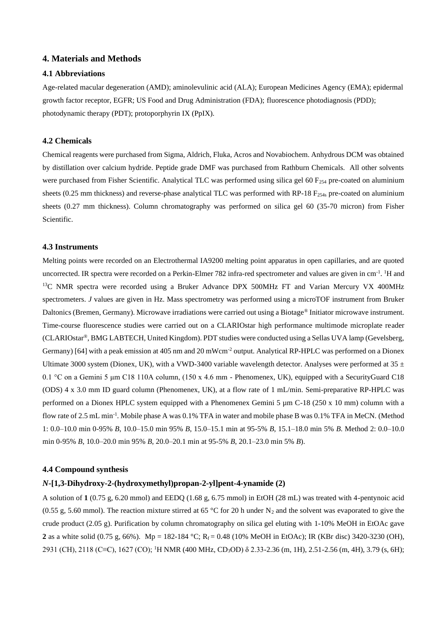### **4. Materials and Methods**

### **4.1 Abbreviations**

Age-related macular degeneration (AMD); aminolevulinic acid (ALA); European Medicines Agency (EMA); epidermal growth factor receptor, EGFR; US Food and Drug Administration (FDA); fluorescence photodiagnosis (PDD); photodynamic therapy (PDT); protoporphyrin IX (PpIX).

### **4.2 Chemicals**

Chemical reagents were purchased from Sigma, Aldrich, Fluka, Acros and Novabiochem. Anhydrous DCM was obtained by distillation over calcium hydride. Peptide grade DMF was purchased from Rathburn Chemicals. All other solvents were purchased from Fisher Scientific. Analytical TLC was performed using silica gel 60  $F_{254}$  pre-coated on aluminium sheets (0.25 mm thickness) and reverse-phase analytical TLC was performed with RP-18  $F_{254s}$  pre-coated on aluminium sheets (0.27 mm thickness). Column chromatography was performed on silica gel 60 (35-70 micron) from Fisher Scientific.

### **4.3 Instruments**

Melting points were recorded on an Electrothermal IA9200 melting point apparatus in open capillaries, and are quoted uncorrected. IR spectra were recorded on a Perkin-Elmer 782 infra-red spectrometer and values are given in  $cm^{-1}$ . <sup>1</sup>H and <sup>13</sup>C NMR spectra were recorded using a Bruker Advance DPX 500MHz FT and Varian Mercury VX 400MHz spectrometers. *J* values are given in Hz. Mass spectrometry was performed using a microTOF instrument from Bruker Daltonics (Bremen, Germany). Microwave irradiations were carried out using a Biotage® Initiator microwave instrument. Time-course fluorescence studies were carried out on a CLARIOstar high performance multimode microplate reader (CLARIOstar®, BMG LABTECH, United Kingdom). PDT studies were conducted using a Sellas UVA lamp (Gevelsberg, Germany) [64] with a peak emission at 405 nm and 20 mWcm-2 output. Analytical RP-HPLC was performed on a Dionex Ultimate 3000 system (Dionex, UK), with a VWD-3400 variable wavelength detector. Analyses were performed at  $35 \pm$ 0.1 °C on a Gemini 5 μm C18 110A column, (150 x 4.6 mm - Phenomenex, UK), equipped with a SecurityGuard C18 (ODS) 4 x 3.0 mm ID guard column (Phenomenex, UK), at a flow rate of 1 mL/min. Semi-preparative RP-HPLC was performed on a Dionex HPLC system equipped with a Phenomenex Gemini 5  $\mu$ m C-18 (250 x 10 mm) column with a flow rate of 2.5 mL min<sup>-1</sup>. Mobile phase A was 0.1% TFA in water and mobile phase B was 0.1% TFA in MeCN. (Method 1: 0.0–10.0 min 0-95% *B*, 10.0–15.0 min 95% *B*, 15.0–15.1 min at 95-5% *B*, 15.1–18.0 min 5% *B*. Method 2: 0.0–10.0 min 0-95% *B*, 10.0–20.0 min 95% *B*, 20.0–20.1 min at 95-5% *B*, 20.1–23.0 min 5% *B*).

### **4.4 Compound synthesis**

### *N***-[1,3-Dihydroxy-2-(hydroxymethyl)propan-2-yl]pent-4-ynamide (2)**

A solution of **1** (0.75 g, 6.20 mmol) and EEDQ (1.68 g, 6.75 mmol) in EtOH (28 mL) was treated with 4-pentynoic acid (0.55 g, 5.60 mmol). The reaction mixture stirred at 65 °C for 20 h under N<sub>2</sub> and the solvent was evaporated to give the crude product (2.05 g). Purification by column chromatography on silica gel eluting with 1-10% MeOH in EtOAc gave **2** as a white solid (0.75 g, 66%). Mp = 182-184 °C; R<sub>f</sub> = 0.48 (10% MeOH in EtOAc); IR (KBr disc) 3420-3230 (OH), 2931 (CH), 2118 (C≡C), 1627 (CO); <sup>1</sup>H NMR (400 MHz, CD<sub>3</sub>OD) δ 2.33-2.36 (m, 1H), 2.51-2.56 (m, 4H), 3.79 (s, 6H);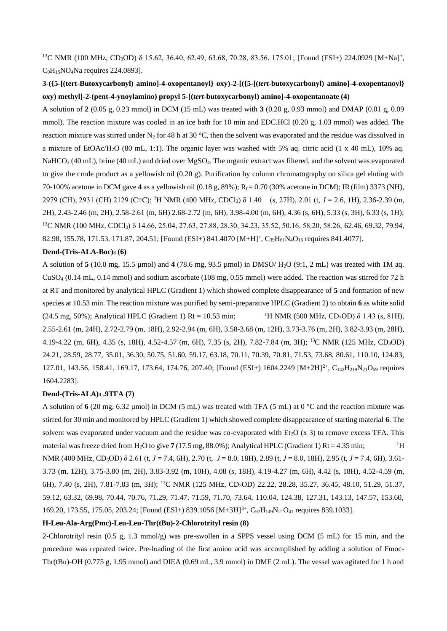<sup>13</sup>C NMR (100 MHz, CD<sub>3</sub>OD) δ 15.62, 36.40, 62.49, 63.68, 70.28, 83.56, 175.01; [Found (ESI+) 224.0929 [M+Na]<sup>+</sup>,  $C_9H_{15}NO_4Na$  requires 224.0893].

### **3-({5-[(tert-Butoxycarbonyl) amino]-4-oxopentanoyl} oxy)-2-[({5-[(***tert***-butoxycarbonyl) amino]-4-oxopentanoyl} oxy) methyl]-2-(pent-4-ynoylamino) propyl 5-[(***tert***-butoxycarbonyl) amino]-4-oxopentanoate (4)**

A solution of **2** (0.05 g, 0.23 mmol) in DCM (15 mL) was treated with **3** (0.20 g, 0.93 mmol) and DMAP (0.01 g, 0.09 mmol). The reaction mixture was cooled in an ice bath for 10 min and EDC.HCl (0.20 g, 1.03 mmol) was added. The reaction mixture was stirred under N<sub>2</sub> for 48 h at 30 °C, then the solvent was evaporated and the residue was dissolved in a mixture of EtOAc/H2O (80 mL, 1:1). The organic layer was washed with 5% aq. citric acid (1 x 40 mL), 10% aq. NaHCO<sub>3</sub> (40 mL), brine (40 mL) and dried over MgSO<sub>4</sub>. The organic extract was filtered, and the solvent was evaporated to give the crude product as a yellowish oil (0.20 g). Purification by column chromatography on silica gel eluting with 70-100% acetone in DCM gave **4** as a yellowish oil (0.18 g, 89%); Rf = 0.70 (30% acetone in DCM); IR(film) 3373 (NH), 2979 (CH), 2931 (CH) 2129 (C≡C); <sup>1</sup>H NMR (400 MHz, CDCl3) δ 1.40 (s, 27H), 2.01 (t, *J* = 2.6, 1H), 2.36-2.39 (m, 2H), 2.43-2.46 (m, 2H), 2.58-2.61 (m, 6H) 2.68-2.72 (m, 6H), 3.98-4.00 (m, 6H), 4.36 (s, 6H), 5.33 (s, 3H), 6.33 (s, 1H); <sup>13</sup>C NMR (100 MHz, CDCl<sub>3</sub>) δ 14.66, 25.04, 27.63, 27.88, 28.30, 34.23, 35.52, 50.16, 58.20, 58.26, 62.46, 69.32, 79.94, 82.98, 155.78, 171.53, 171.87, 204.51; [Found (ESI+) 841.4070 [M+H]<sup>+</sup>, C<sub>39</sub>H<sub>61</sub>N<sub>4</sub>O<sub>16</sub> requires 841.4077].

### **Dend-(Tris-ALA-Boc)<sup>3</sup> (6)**

A solution of **5** (10.0 mg, 15.5 µmol) and **4** (78.6 mg, 93.5 µmol) in DMSO/ H2O (9:1, 2 mL) was treated with 1M aq.  $CuSO<sub>4</sub>$  (0.14 mL, 0.14 mmol) and sodium ascorbate (108 mg, 0.55 mmol) were added. The reaction was stirred for 72 h at RT and monitored by analytical HPLC (Gradient 1) which showed complete disappearance of **5** and formation of new species at 10.53 min. The reaction mixture was purified by semi-preparative HPLC (Gradient 2) to obtain **6** as white solid  $(24.5 \text{ mg}, 50\%)$ ; Analytical HPLC (Gradient 1) Rt = 10.53 min; <sup>1</sup>H NMR (500 MHz, CD<sub>3</sub>OD)  $\delta$  1.43 (s, 81H), 2.55-2.61 (m, 24H), 2.72-2.79 (m, 18H), 2.92-2.94 (m, 6H), 3.58-3.68 (m, 12H), 3.73-3.76 (m, 2H), 3.82-3.93 (m, 28H), 4.19-4.22 (m, 6H), 4.35 (s, 18H), 4.52-4.57 (m, 6H), 7.35 (s, 2H), 7.82-7.84 (m, 3H); <sup>13</sup>C NMR (125 MHz, CD3OD) 24.21, 28.59, 28.77, 35.01, 36.30, 50.75, 51.60, 59.17, 63.18, 70.11, 70.39, 70.81, 71.53, 73.68, 80.61, 110.10, 124.83, 127.01, 143.56, 158.41, 169.17, 173.64, 174.76, 207.40; [Found (ESI+) 1604.2249 [M+2H] 2+, C142H219N21O<sup>59</sup> requires 1604.2283].

### **Dend-(Tris-ALA)<sup>3</sup> .9TFA (7)**

A solution of  $6$  (20 mg, 6.32 µmol) in DCM (5 mL) was treated with TFA (5 mL) at 0  $^{\circ}$ C and the reaction mixture was stirred for 30 min and monitored by HPLC (Gradient 1) which showed complete disappearance of starting material **6**. The solvent was evaporated under vacuum and the residue was co-evaporated with Et<sub>2</sub>O ( $\times$  3) to remove excess TFA. This material was freeze dried from H<sub>2</sub>O to give **7** (17.5 mg, 88.0%); Analytical HPLC (Gradient 1) Rt = 4.35 min; <sup>1</sup>H NMR (400 MHz, CD3OD) δ 2.61 (t, *J* = 7.4, 6H), 2.70 (t, *J* = 8.0, 18H), 2.89 (t, *J* = 8.0, 18H), 2.95 (t, *J* = 7.4, 6H), 3.61-

3.73 (m, 12H), 3.75-3.80 (m, 2H), 3.83-3.92 (m, 10H), 4.08 (s, 18H), 4.19-4.27 (m, 6H), 4.42 (s, 18H), 4.52-4.59 (m, 6H), 7.40 (s, 2H), 7.81-7.83 (m, 3H); <sup>13</sup>C NMR (125 MHz, CD3OD) 22.22, 28.28, 35.27, 36.45, 48.10, 51.29, 51.37, 59.12, 63.32, 69.98, 70.44, 70.76, 71.29, 71.47, 71.59, 71.70, 73.64, 110.04, 124.38, 127.31, 143.13, 147.57, 153.60, 169.20, 173.55, 175.05, 203.24; [Found (ESI+) 839.1056 [M+3H]<sup>3+</sup>, C<sub>97</sub>H<sub>149</sub>N<sub>21</sub>O<sub>41</sub> requires 839.1033].

### **H-Leu-Ala-Arg(Pmc)-Leu-Leu-Thr(tBu)-2-Chlorotrityl resin (8)**

2-Chlorotrityl resin (0.5 g, 1.3 mmol/g) was pre-swollen in a SPPS vessel using DCM (5 mL) for 15 min, and the procedure was repeated twice. Pre-loading of the first amino acid was accomplished by adding a solution of Fmoc-Thr(tBu)-OH (0.775 g, 1.95 mmol) and DIEA (0.69 mL, 3.9 mmol) in DMF (2 mL). The vessel was agitated for 1 h and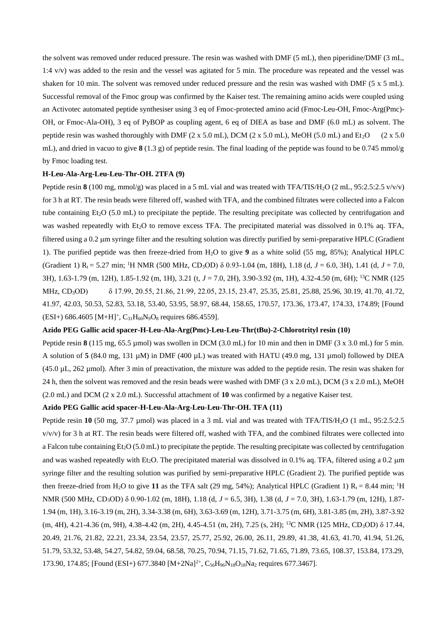the solvent was removed under reduced pressure. The resin was washed with DMF (5 mL), then piperidine/DMF (3 mL, 1:4 v/v) was added to the resin and the vessel was agitated for 5 min. The procedure was repeated and the vessel was shaken for 10 min. The solvent was removed under reduced pressure and the resin was washed with DMF (5 x 5 mL). Successful removal of the Fmoc group was confirmed by the Kaiser test. The remaining amino acids were coupled using an Activotec automated peptide synthesiser using 3 eq of Fmoc-protected amino acid (Fmoc-Leu-OH, Fmoc-Arg(Pmc)- OH, or Fmoc-Ala-OH), 3 eq of PyBOP as coupling agent, 6 eq of DIEA as base and DMF (6.0 mL) as solvent. The peptide resin was washed thoroughly with DMF (2 x 5.0 mL), DCM (2 x 5.0 mL), MeOH (5.0 mL) and Et<sub>2</sub>O (2 x 5.0) mL), and dried in vacuo to give **8** (1.3 g) of peptide resin. The final loading of the peptide was found to be 0.745 mmol/g by Fmoc loading test.

#### **H-Leu-Ala-Arg-Leu-Leu-Thr-OH. 2TFA (9)**

Peptide resin  $8(100 \text{ mg}, \text{mmol/g})$  was placed in a 5 mL vial and was treated with TFA/TIS/H<sub>2</sub>O (2 mL, 95:2.5:2.5 v/v/v) for 3 h at RT. The resin beads were filtered off, washed with TFA, and the combined filtrates were collected into a Falcon tube containing  $Et<sub>2</sub>O$  (5.0 mL) to precipitate the peptide. The resulting precipitate was collected by centrifugation and was washed repeatedly with Et<sub>2</sub>O to remove excess TFA. The precipitated material was dissolved in 0.1% aq. TFA, filtered using a 0.2 µm syringe filter and the resulting solution was directly purified by semi-preparative HPLC (Gradient 1). The purified peptide was then freeze-dried from H2O to give **9** as a white solid (55 mg, 85%); Analytical HPLC (Gradient 1) Rt = 5.27 min; <sup>1</sup>H NMR (500 MHz, CD3OD) δ 0.93-1.04 (m, 18H), 1.18 (d, *J* = 6.0, 3H), 1.41 (d, *J* = 7.0, 3H), 1.63-1.79 (m, 12H), 1.85-1.92 (m, 1H), 3.21 (t, *J* = 7.0, 2H), 3.90-3.92 (m, 1H), 4.32-4.50 (m, 6H); <sup>13</sup>C NMR (125 MHz, CD3OD) δ 17.99, 20.55, 21.86, 21.99, 22.05, 23.15, 23.47, 25.35, 25.81, 25.88, 25.96, 30.19, 41.70, 41.72, 41.97, 42.03, 50.53, 52.83, 53.18, 53.40, 53.95, 58.97, 68.44, 158.65, 170.57, 173.36, 173.47, 174.33, 174.89; [Found  $(ESI+) 686.4605 [M+H]<sup>+</sup>, C<sub>31</sub>H<sub>60</sub>N<sub>9</sub>O<sub>8</sub> requires 686.4559].$ 

#### **Azido PEG Gallic acid spacer-H-Leu-Ala-Arg(Pmc)-Leu-Leu-Thr(tBu)-2-Chlorotrityl resin (10)**

Peptide resin **8** (115 mg, 65.5 µmol) was swollen in DCM (3.0 mL) for 10 min and then in DMF (3 x 3.0 mL) for 5 min. A solution of **5** (84.0 mg, 131 µM) in DMF (400 µL) was treated with HATU (49.0 mg, 131 µmol) followed by DIEA (45.0 µL, 262 µmol). After 3 min of preactivation, the mixture was added to the peptide resin. The resin was shaken for 24 h, then the solvent was removed and the resin beads were washed with DMF ( $3 \times 2.0$  mL), DCM ( $3 \times 2.0$  mL), MeOH (2.0 mL) and DCM (2 x 2.0 mL). Successful attachment of **10** was confirmed by a negative Kaiser test.

### **Azido PEG Gallic acid spacer-H-Leu-Ala-Arg-Leu-Leu-Thr-OH. TFA (11)**

Peptide resin **10** (50 mg, 37.7 µmol) was placed in a 3 mL vial and was treated with TFA/TIS/H<sub>2</sub>O (1 mL, 95:2.5:2.5)  $v/v/v$  for 3 h at RT. The resin beads were filtered off, washed with TFA, and the combined filtrates were collected into a Falcon tube containing Et<sub>2</sub>O (5.0 mL) to precipitate the peptide. The resulting precipitate was collected by centrifugation and was washed repeatedly with Et<sub>2</sub>O. The precipitated material was dissolved in 0.1% aq. TFA, filtered using a 0.2  $\mu$ m syringe filter and the resulting solution was purified by semi-preparative HPLC (Gradient 2). The purified peptide was then freeze-dried from H<sub>2</sub>O to give 11 as the TFA salt (29 mg, 54%); Analytical HPLC (Gradient 1)  $R_t = 8.44$  min; <sup>1</sup>H NMR (500 MHz, CD3OD) δ 0.90-1.02 (m, 18H), 1.18 (d, *J* = 6.5, 3H), 1.38 (d, *J* = 7.0, 3H), 1.63-1.79 (m, 12H), 1.87- 1.94 (m, 1H), 3.16-3.19 (m, 2H), 3.34-3.38 (m, 6H), 3.63-3.69 (m, 12H), 3.71-3.75 (m, 6H), 3.81-3.85 (m, 2H), 3.87-3.92 (m, 4H), 4.21-4.36 (m, 9H), 4.38-4.42 (m, 2H), 4.45-4.51 (m, 2H), 7.25 (s, 2H); <sup>13</sup>C NMR (125 MHz, CD3OD) δ 17.44, 20.49, 21.76, 21.82, 22.21, 23.34, 23.54, 23.57, 25.77, 25.92, 26.00, 26.11, 29.89, 41.38, 41.63, 41.70, 41.94, 51.26, 51.79, 53.32, 53.48, 54.27, 54.82, 59.04, 68.58, 70.25, 70.94, 71.15, 71.62, 71.65, 71.89, 73.65, 108.37, 153.84, 173.29, 173.90, 174.85; [Found (ESI+) 677.3840 [M+2Na]<sup>2+</sup>, C<sub>56</sub>H<sub>96</sub>N<sub>18</sub>O<sub>18</sub>Na<sub>2</sub> requires 677.3467].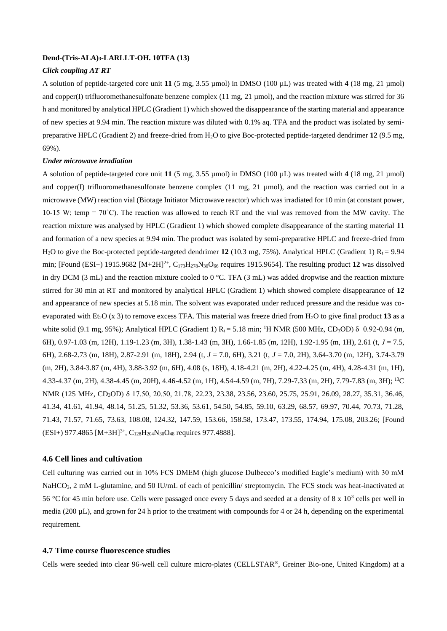#### **Dend-(Tris-ALA)3-LARLLT-OH. 10TFA (13)**

### *Click coupling AT RT*

A solution of peptide-targeted core unit **11** (5 mg, 3.55 µmol) in DMSO (100 µL) was treated with **4** (18 mg, 21 µmol) and copper(I) trifluoromethanesulfonate benzene complex (11 mg, 21  $\mu$ mol), and the reaction mixture was stirred for 36 h and monitored by analytical HPLC (Gradient 1) which showed the disappearance of the starting material and appearance of new species at 9.94 min. The reaction mixture was diluted with 0.1% aq. TFA and the product was isolated by semipreparative HPLC (Gradient 2) and freeze-dried from H2O to give Boc-protected peptide-targeted dendrimer **12** (9.5 mg, 69%).

### *Under microwave irradiation*

A solution of peptide-targeted core unit 11 (5 mg, 3.55  $\mu$ mol) in DMSO (100  $\mu$ L) was treated with 4 (18 mg, 21  $\mu$ mol) and copper(I) trifluoromethanesulfonate benzene complex (11 mg, 21 µmol), and the reaction was carried out in a microwave (MW) reaction vial (Biotage Initiator Microwave reactor) which was irradiated for 10 min (at constant power, 10-15 W; temp =  $70^{\circ}$ C). The reaction was allowed to reach RT and the vial was removed from the MW cavity. The reaction mixture was analysed by HPLC (Gradient 1) which showed complete disappearance of the starting material **11** and formation of a new species at 9.94 min. The product was isolated by semi-preparative HPLC and freeze-dried from H<sub>2</sub>O to give the Boc-protected peptide-targeted dendrimer 12 (10.3 mg, 75%). Analytical HPLC (Gradient 1)  $R_1 = 9.94$ min; [Found (ESI+) 1915.9682 [M+2H]<sup>2+</sup>, C<sub>173</sub>H<sub>278</sub>N<sub>30</sub>O<sub>66</sub> requires 1915.9654]. The resulting product 12 was dissolved in dry DCM (3 mL) and the reaction mixture cooled to 0 °C. TFA (3 mL) was added dropwise and the reaction mixture stirred for 30 min at RT and monitored by analytical HPLC (Gradient 1) which showed complete disappearance of **12** and appearance of new species at 5.18 min. The solvent was evaporated under reduced pressure and the residue was coevaporated with Et<sub>2</sub>O (x 3) to remove excess TFA. This material was freeze dried from H<sub>2</sub>O to give final product 13 as a white solid (9.1 mg, 95%); Analytical HPLC (Gradient 1)  $R_t = 5.18$  min; <sup>1</sup>H NMR (500 MHz, CD<sub>3</sub>OD)  $\delta$  0.92-0.94 (m, 6H), 0.97-1.03 (m, 12H), 1.19-1.23 (m, 3H), 1.38-1.43 (m, 3H), 1.66-1.85 (m, 12H), 1.92-1.95 (m, 1H), 2.61 (t, *J* = 7.5, 6H), 2.68-2.73 (m, 18H), 2.87-2.91 (m, 18H), 2.94 (t, *J* = 7.0, 6H), 3.21 (t, *J* = 7.0, 2H), 3.64-3.70 (m, 12H), 3.74-3.79 (m, 2H), 3.84-3.87 (m, 4H), 3.88-3.92 (m, 6H), 4.08 (s, 18H), 4.18-4.21 (m, 2H), 4.22-4.25 (m, 4H), 4.28-4.31 (m, 1H), 4.33-4.37 (m, 2H), 4.38-4.45 (m, 20H), 4.46-4.52 (m, 1H), 4.54-4.59 (m, 7H), 7.29-7.33 (m, 2H), 7.79-7.83 (m, 3H); <sup>13</sup>C NMR (125 MHz, CD3OD) δ 17.50, 20.50, 21.78, 22.23, 23.38, 23.56, 23.60, 25.75, 25.91, 26.09, 28.27, 35.31, 36.46, 41.34, 41.61, 41.94, 48.14, 51.25, 51.32, 53.36, 53.61, 54.50, 54.85, 59.10, 63.29, 68.57, 69.97, 70.44, 70.73, 71.28, 71.43, 71.57, 71.65, 73.63, 108.08, 124.32, 147.59, 153.66, 158.58, 173.47, 173.55, 174.94, 175.08, 203.26; [Found  $(ESI+) 977.4865 [M+3H]^{3+}$ ,  $C_{128}H_{204}N_{30}O_{48}$  requires 977.4888].

### **4.6 Cell lines and cultivation**

Cell culturing was carried out in 10% FCS DMEM (high glucose Dulbecco's modified Eagle's medium) with 30 mM NaHCO<sub>3</sub>, 2 mM L-glutamine, and 50 IU/mL of each of penicillin/ streptomycin. The FCS stock was heat-inactivated at 56 °C for 45 min before use. Cells were passaged once every 5 days and seeded at a density of 8 x  $10<sup>3</sup>$  cells per well in media (200  $\mu$ L), and grown for 24 h prior to the treatment with compounds for 4 or 24 h, depending on the experimental requirement.

### **4.7 Time course fluorescence studies**

Cells were seeded into clear 96-well cell culture micro-plates (CELLSTAR®, Greiner Bio-one, United Kingdom) at a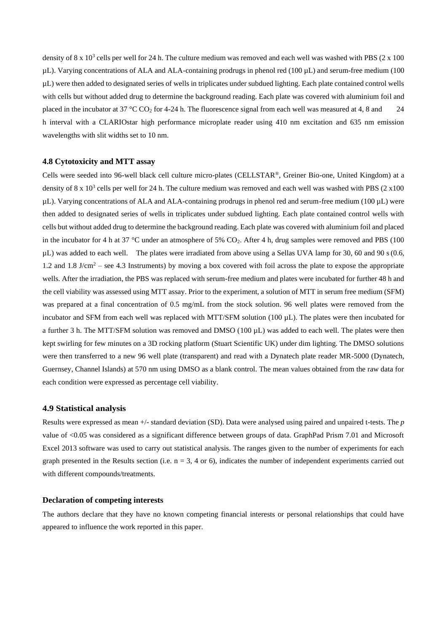density of 8 x  $10<sup>3</sup>$  cells per well for 24 h. The culture medium was removed and each well was washed with PBS (2 x 100)  $\mu$ L). Varying concentrations of ALA and ALA-containing prodrugs in phenol red (100  $\mu$ L) and serum-free medium (100 µL) were then added to designated series of wells in triplicates under subdued lighting. Each plate contained control wells with cells but without added drug to determine the background reading. Each plate was covered with aluminium foil and placed in the incubator at 37 °C CO<sub>2</sub> for 4-24 h. The fluorescence signal from each well was measured at 4, 8 and 24 h interval with a CLARIOstar high performance microplate reader using 410 nm excitation and 635 nm emission wavelengths with slit widths set to 10 nm.

### **4.8 Cytotoxicity and MTT assay**

Cells were seeded into 96-well black cell culture micro-plates (CELLSTAR®, Greiner Bio-one, United Kingdom) at a density of 8 x  $10<sup>3</sup>$  cells per well for 24 h. The culture medium was removed and each well was washed with PBS (2 x 100)  $\mu$ L). Varying concentrations of ALA and ALA-containing prodrugs in phenol red and serum-free medium (100  $\mu$ L) were then added to designated series of wells in triplicates under subdued lighting. Each plate contained control wells with cells but without added drug to determine the background reading. Each plate was covered with aluminium foil and placed in the incubator for 4 h at 37 °C under an atmosphere of 5%  $CO<sub>2</sub>$ . After 4 h, drug samples were removed and PBS (100)  $\mu$ L) was added to each well. The plates were irradiated from above using a Sellas UVA lamp for 30, 60 and 90 s(0.6, 1.2 and 1.8 J/cm<sup>2</sup> – see 4.3 Instruments) by moving a box covered with foil across the plate to expose the appropriate wells. After the irradiation, the PBS was replaced with serum-free medium and plates were incubated for further 48 h and the cell viability was assessed using MTT assay. Prior to the experiment, a solution of MTT in serum free medium (SFM) was prepared at a final concentration of 0.5 mg/mL from the stock solution. 96 well plates were removed from the incubator and SFM from each well was replaced with MTT/SFM solution (100 µL). The plates were then incubated for a further 3 h. The MTT/SFM solution was removed and DMSO (100 µL) was added to each well. The plates were then kept swirling for few minutes on a 3D rocking platform (Stuart Scientific UK) under dim lighting. The DMSO solutions were then transferred to a new 96 well plate (transparent) and read with a Dynatech plate reader MR-5000 (Dynatech, Guernsey, Channel Islands) at 570 nm using DMSO as a blank control. The mean values obtained from the raw data for each condition were expressed as percentage cell viability.

### **4.9 Statistical analysis**

Results were expressed as mean +/- standard deviation (SD). Data were analysed using paired and unpaired t-tests. The *p* value of <0.05 was considered as a significant difference between groups of data. GraphPad Prism 7.01 and Microsoft Excel 2013 software was used to carry out statistical analysis. The ranges given to the number of experiments for each graph presented in the Results section (i.e.  $n = 3$ , 4 or 6), indicates the number of independent experiments carried out with different compounds/treatments.

#### **Declaration of competing interests**

The authors declare that they have no known competing financial interests or personal relationships that could have appeared to influence the work reported in this paper.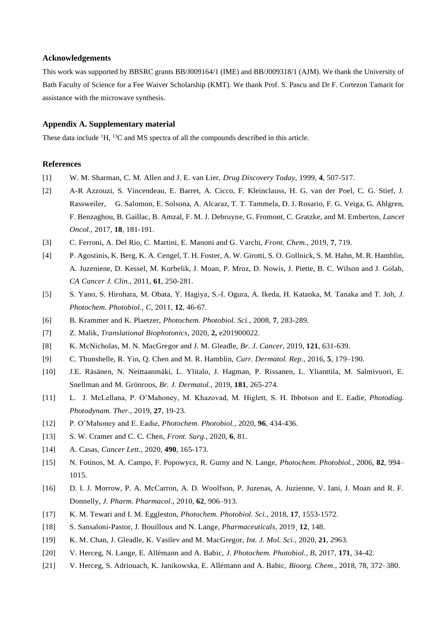### **Acknowledgements**

This work was supported by BBSRC grants BB/J009164/1 (IME) and BB/J009318/1 (AJM). We thank the University of Bath Faculty of Science for a Fee Waiver Scholarship (KMT). We thank Prof. S. Pascu and Dr F. Cortezon Tamarit for assistance with the microwave synthesis.

### **Appendix A. Supplementary material**

These data include <sup>1</sup>H, <sup>13</sup>C and MS spectra of all the compounds described in this article.

### **References**

- [1] W. M. Sharman, C. M. Allen and J. E. van Lier, *Drug Discovery Today*, 1999, **4**, 507-517.
- [2] A-R Azzouzi, S. Vincendeau, E. Barret, A. Cicco, F. Kleinclauss, H. G. van der Poel, C. G. Stief, J. Rassweiler, G. Salomon, E. Solsona, A. Alcaraz, T. T. Tammela, D. J. Rosario, F. G. Veiga, G. Ahlgren, F. Benzaghou, B. Gaillac, B. Amzal, F. M. J. Debruyne, G. Fromont, C. Gratzke, and M. Emberton, *Lancet Oncol.,* 2017, **18**, 181-191.
- [3] C. Ferroni, A. Del Rio, C. Martini, E. Manoni and G. Varchi, *Front. Chem.*, 2019, **7**, 719.
- [4] P. Agostinis, K. Berg, K. A. Cengel, T. H. Foster, A. W. Girotti, S. O. Gollnick, S. M. Hahn, M. R. Hamblin, A. Juzeniene, D. Kessel, M. Korbelik, J. Moan, P. Mroz, D. Nowis, J. Piette, B. C. Wilson and J. Golab, *CA Cancer J. Clin.*, 2011, **61**, 250-281.
- [5] S. Yano, S. Hirohara, M. Obata, Y. Hagiya, S.-I. Ogura, A. Ikeda, H. Kataoka, M. Tanaka and T. Joh, *J. Photochem. Photobiol., C*, 2011, **12**, 46-67.
- [6] B. Krammer and K. Plaetzer, *Photochem. Photobiol. Sci.*, 2008, **7**, 283-289.
- [7] Z. Malik, *Translational Biophotonics*, 2020, **2,** e201900022.
- [8] K. McNicholas, M. N. MacGregor and J. M. Gleadle, *Br. J. Cancer*, 2019, **121**, 631-639.
- [9] C. Thunshelle, R. Yin, Q. Chen and M. R. Hamblin, *Curr. Dermatol. Rep.*, 2016, **5**, 179–190.
- [10] J.E. Räsänen, N. Neittaanmäki, L. Ylitalo, J. Hagman, P. Rissanen, L. Ylianttila, M. Salmivuori, E. Snellman and M. Grönroos, *Br. J. Dermatol.*, 2019, **181**, 265-274.
- [11] L. J. McLellana, P. O'Mahoney, M. Khazovad, M. Higlett, S. H. Ibbotson and E. Eadie, *Photodiag. Photodynam. Ther.*, 2019, **27**, 19-23.
- [12] P. O'Mahoney and E. Eadie, *Photochem. Photobiol.*, 2020, **96**, 434-436.
- [13] S. W. Cramer and C. C. Chen, *Front. Surg.*, 2020, **6**, 81.
- [14] A. Casas, *Cancer Lett.*, 2020, **490**, 165-173.
- [15] N. Fotinos, M. A. Campo, F. Popowycz, R. Gurny and N. Lange, *Photochem. Photobiol.*, 2006, **82**, 994– 1015.
- [16] D. I. J. Morrow, P. A. McCarron, A. D. Woolfson, P. Juzenas, A. Juzienne, V. Iani, J. Moan and R. F. Donnelly, *J. Pharm. Pharmacol*., 2010, **62**, 906–913.
- [17] K. M. Tewari and I. M. Eggleston, *Photochem. Photobiol. Sci.*, 2018, **17**, 1553-1572.
- [18] S. Sansaloni-Pastor, J. Bouilloux and N. Lange, *Pharmaceuticals*, 2019¸ **12**, 148.
- [19] K. M. Chan, J. Gleadle, K. Vasilev and M. MacGregor, *Int. J. Mol. Sci.*, 2020, **21**, 2963.
- [20] V. Herceg, N. Lange, E. Allémann and A. Babic, *J. Photochem. Photobiol., B*, 2017, **171**, 34-42.
- [21] V. Herceg, S. Adriouach, K. Janikowska, E. Allémann and A. Babic, *Bioorg. Chem*., 2018, 78, 372–380.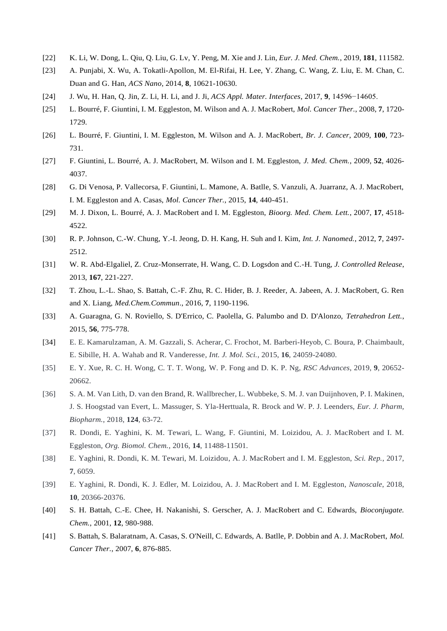- [22] K. Li, W. Dong, L. Qiu, Q. Liu, G. Lv, Y. Peng, M. Xie and J. Lin, *Eur. J. Med. Chem.*, 2019, **181**, 111582.
- [23] A. Punjabi, X. Wu, A. Tokatli-Apollon, M. El-Rifai, H. Lee, Y. Zhang, C. Wang, Z. Liu, E. M. Chan, C. Duan and G. Han, *ACS Nano*, 2014, **8**, 10621-10630.
- [24] J. Wu, H. Han, Q. Jin, Z. Li, H. Li, and J. Ji, *ACS Appl. Mater. Interfaces*, 2017, **9**, 14596−14605.
- [25] L. Bourré, F. Giuntini, I. M. Eggleston, M. Wilson and A. J. MacRobert, *Mol. Cancer Ther.*, 2008, **7**, 1720- 1729.
- [26] L. Bourré, F. Giuntini, I. M. Eggleston, M. Wilson and A. J. MacRobert, *Br. J. Cancer*, 2009, **100**, 723- 731.
- [27] F. Giuntini, L. Bourré, A. J. MacRobert, M. Wilson and I. M. Eggleston, *J. Med. Chem.*, 2009, **52**, 4026- 4037.
- [28] G. Di Venosa, P. Vallecorsa, F. Giuntini, L. Mamone, A. Batlle, S. Vanzuli, A. Juarranz, A. J. MacRobert, I. M. Eggleston and A. Casas, *Mol. Cancer Ther.*, 2015, **14**, 440-451.
- [29] M. J. Dixon, L. Bourré, A. J. MacRobert and I. M. Eggleston, *Bioorg. Med. Chem. Lett.*, 2007, **17**, 4518- 4522.
- [30] R. P. Johnson, C.-W. Chung, Y.-I. Jeong, D. H. Kang, H. Suh and I. Kim, *Int. J. Nanomed.*, 2012, **7**, 2497- 2512.
- [31] W. R. Abd-Elgaliel, Z. Cruz-Monserrate, H. Wang, C. D. Logsdon and C.-H. Tung, *J. Controlled Release*, 2013, **167**, 221-227.
- [32] T. Zhou, L.-L. Shao, S. Battah, C.-F. Zhu, R. C. Hider, B. J. Reeder, A. Jabeen, A. J. MacRobert, G. Ren and X. Liang, *Med.Chem.Commun*., 2016, **7**, 1190-1196.
- [33] A. Guaragna, G. N. Roviello, S. D'Errico, C. Paolella, G. Palumbo and D. D'Alonzo, *Tetrahedron Lett.*, 2015, **56**, 775-778.
- [34] E. E. Kamarulzaman, A. M. Gazzali, S. Acherar, C. Frochot, M. Barberi-Heyob, C. Boura, P. Chaimbault, E. Sibille, H. A. Wahab and R. Vanderesse, *Int. J. Mol. Sci.*, 2015, **16**, 24059-24080.
- [35] E. Y. Xue, R. C. H. Wong, C. T. T. Wong, W. P. Fong and D. K. P. Ng, *RSC Advances*, 2019, **9**, 20652- 20662.
- [36] S. A. M. Van Lith, D. van den Brand, R. Wallbrecher, L. Wubbeke, S. M. J. van Duijnhoven, P. I. Makinen, J. S. Hoogstad van Evert, L. Massuger, S. Yla-Herttuala, R. Brock and W. P. J. Leenders, *Eur. J. Pharm, Biopharm.*, 2018, **124**, 63-72.
- [37] R. Dondi, E. Yaghini, K. M. Tewari, L. Wang, F. Giuntini, M. Loizidou, A. J. MacRobert and I. M. Eggleston, *Org. Biomol. Chem.*, 2016, **14**, 11488-11501.
- [38] E. Yaghini, R. Dondi, K. M. Tewari, M. Loizidou, A. J. MacRobert and I. M. Eggleston, *Sci. Rep.*, 2017, **7**, 6059.
- [39] E. Yaghini, R. Dondi, K. J. Edler, M. Loizidou, A. J. MacRobert and I. M. Eggleston, *Nanoscale*, 2018, **10**, 20366-20376.
- [40] S. H. Battah, C.-E. Chee, H. Nakanishi, S. Gerscher, A. J. MacRobert and C. Edwards, *Bioconjugate. Chem.*, 2001, **12**, 980-988.
- [41] S. Battah, S. Balaratnam, A. Casas, S. O'Neill, C. Edwards, A. Batlle, P. Dobbin and A. J. MacRobert, *Mol. Cancer Ther.*, 2007, **6**, 876-885.